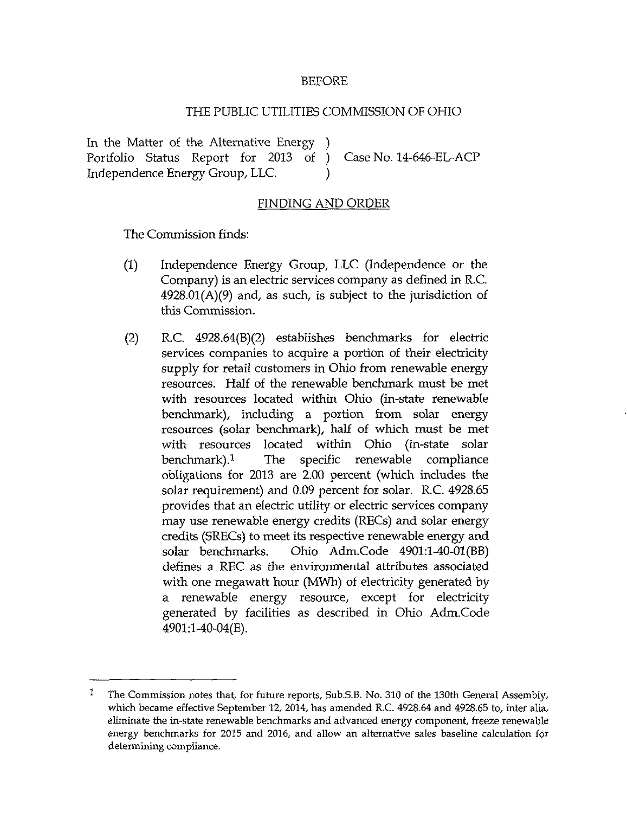## BEFORE

## THE PUBLIC UTILITIES COMMISSION OF OHIO

In the Matter of the Alternative Energy Portfolio Status Report for 2013 of ) Case No. 14-646-EL-ACP Independence Energy Group, LLC. )

## FINDING AND ORDER

The Commission finds:

- (1) Independence Energy Group, LLC (Independence or the Company) is an electric services company as defined in R.C.  $4928.01(A)(9)$  and, as such, is subject to the jurisdiction of this Commission.
- (2) R.C. 4928.64(B)(2) establishes benchmarks for electric services companies to acquire a portion of their electricity supply for retail customers in Ohio from renewable energy resources. Half of the renewable benchmark must be met with resources located within Ohio (in-state renewable benchmark), including a portion from solar energy resources (solar benchmark), half of which must be met with resources located within Ohio (in-state solar benchmark).<sup>1</sup> The specific renewable compliance obligations for 2013 are 2.00 percent (which includes the solar requirement) and 0.09 percent for solar. R.C. 4928.65 provides that an electric utility or electric services company may use renewable energy credits (RECs) and solar energy credits (SRECs) to meet its respective renewable energy and solar benchmarks. Ohio Adm.Code 4901:l-40-01(BB) defines a REG as the environmental attributes associated with one megawatt hour (MWh) of electricity generated by a renewable energy resource, except for electricity generated by facilities as described in Ohio Adm.Code 4901:l-40-04(E).

<sup>1</sup> The Commission notes that, for future reports, Sub.S.B. No. 310 of the 130th General Assembly, which became effective September 12, 2014, has amended R.C. 4928.64 and 4928.65 to, inter alia, eliminate the in-state renewable benchmarks and advanced energy component, freeze renewable energy benchmarks for 2015 and 2016, and allow an alternative sales baseline calculation for determining compliance.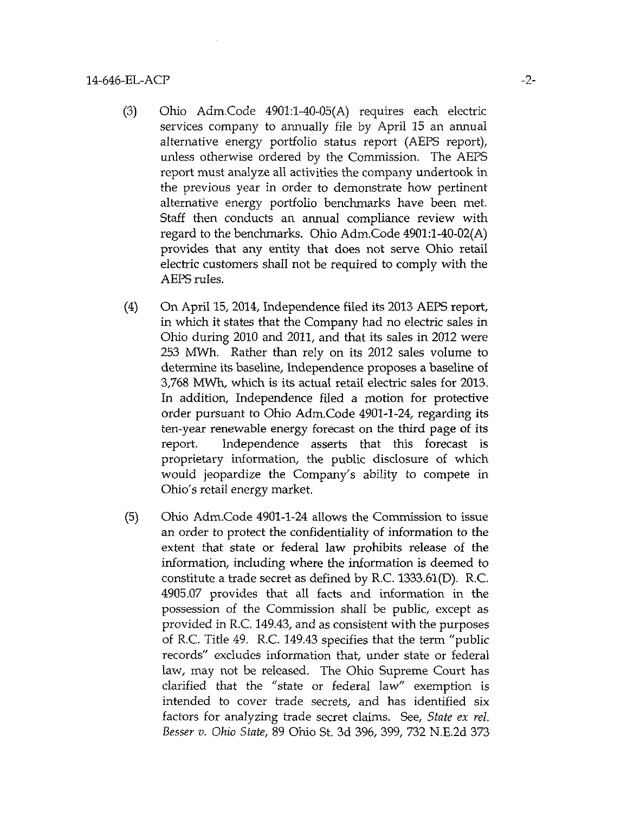## 14-646-EL-ACP -2-

- (3) Ohio Adm.Code 4901:l-40-05(A) requires each electric services company to annually file by April 15 an annual alternative energy portfolio status report (ALPS report), unless otherwise ordered by the Commission. The AEPS report must analyze all activities the company undertook in the previous year in order to demonstrate how pertinent alternative energy portfolio benchmarks have been met. Staff then conducts an annual compliance review with regard to the benchmarks. Ohio Adm.Code 4901:1-40-02(A) provides that any entity that does not serve Ohio retail electric customers shall not be required to comply with the AEPS rules.
- (4) On April 15, 2014, Independence filed its 2013 AEPS report, in which it states that the Company had no electric sales in Ohio during 2010 and 2011, and that its sales in 2012 were 253 MWh. Rather than rely on its 2012 sales volume to determine its baseline. Independence proposes a baseline of 3,768 MWh, which is its actual retail electric sales for 2013. In addition. Independence filed a motion for protective order pursuant to Ohio Adm.Code 4901-1-24, regarding its ten-year renewable energy forecast on the third page of its report. Independence asserts that this forecast is proprietary information, the public disclosure of which would jeopardize the Company's ability to compete in Ohio's retail energy market.
- (5) Ohio Adm.Code 4901-1-24 allows the Commission to issue an order to protect the confidentiality of information to the extent that state or federal law prohibits release of the information, including where the information is deemed to constitute a trade secret as defined by R.C. 1333.61(D). R.C. 4905.07 provides that all facts and information in the possession of the Commission shall be public, except as provided in R.C 149.43, and as consistent with the purposes of R.C. Tide 49. R.C. 149.43 specifies that the term "public records" excludes information that, under state or federal law, may not be released. The Ohio Supreme Court has clarified that the "state or federal law" exemption is intended to cover trade secrets, and has identified six factors for analyzing trade secret claims. See, State ex rel. Besser v. Ohio State, 89 Ohio St. 3d 396, 399, 732 N.E.2d 373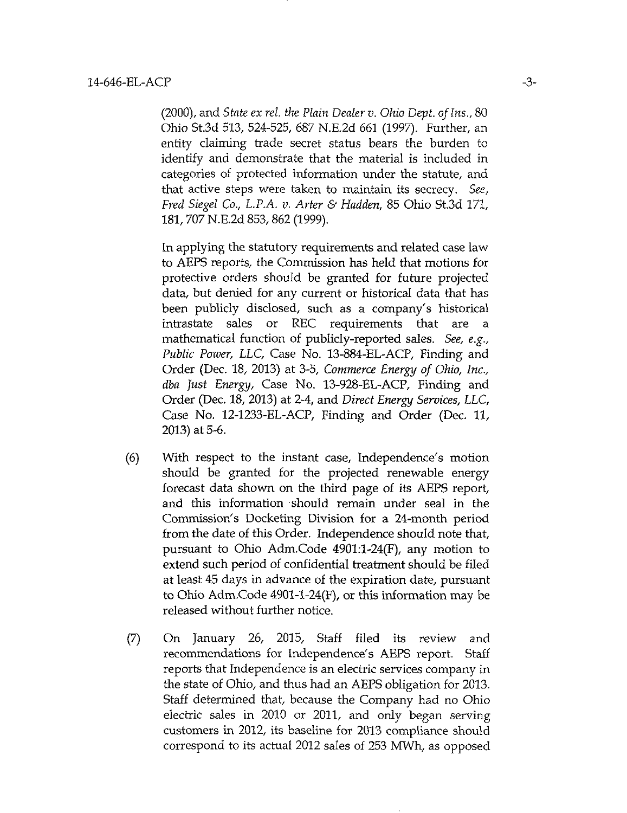$(2000)$ , and State ex rel. the Plain Dealer v. Ohio Dept. of Ins., 80 Ohio St.3d 513, 524-525, 687 N.E.2d 661 (1997). Further, an entity claiming trade secret status bears the burden to identify and demonstrate that the material is included in categories of protected information under the statute, and that active steps were taken to maintain its secrecy. See, Pred Siegel Co., L.P.A. v. Arter & Hadden, S5 Ohio St.3d 171, 181,707 N.E.2d 853,862 (1999).

In applying the statutory requirements and related case law to AEPS reports, the Commission has held that motions for protective orders should be granted for future projected data, but denied for any current or historical data that has been publicly disclosed, such as a company's historical intrastate sales or REC requirements that are a mathematical function of publicly-reported sales. See, e.g., Public Power, LLC, Case No. 13-884-EL-ACP, Finding and Order (Dec. 18, 2013) at 3-5, Commerce Energy of Ohio, Inc., dba ]ust Energy, Case No. 13-928-EL-ACP, Finding and Order (Dec. 18, 2013) at 2-4, and Direct Energy Services, LLC, Case No. 12-1233-EL-ACP, Finding and Order (Dec. 11, 2013) at 5-6.

- (6) With respect to the instant case. Independence's motion should be granted for the projected renewable energy forecast data shown on the third page of its AEPS report, and this information should remain under seal in the Conmaission's Docketing Division for a 24-month period from the date of this Order. Independence should note that, pursuant to Ohio Adm.Code 4901:1-24(F), any motion to extend such period of confidential treatment should be filed at least 45 days in advance of the expiration date, pursuant to Ohio Adm.Code 4901-1-24(F), or this information may be released without further notice.
- (7) On January 26, 2015, Staff filed its review and recommendations for Independence's AEPS report. Staff reports that Independence is an electric services company in the state of Ohio, and thus had an AEPS obligation for 2013. Staff determined that, because the Company had no Ohio electric sales in 2010 or 2011, and only began serving customers in 2012, its baseline for 2013 compliance should correspond to its actual 2012 sales of 253 MWh, as opposed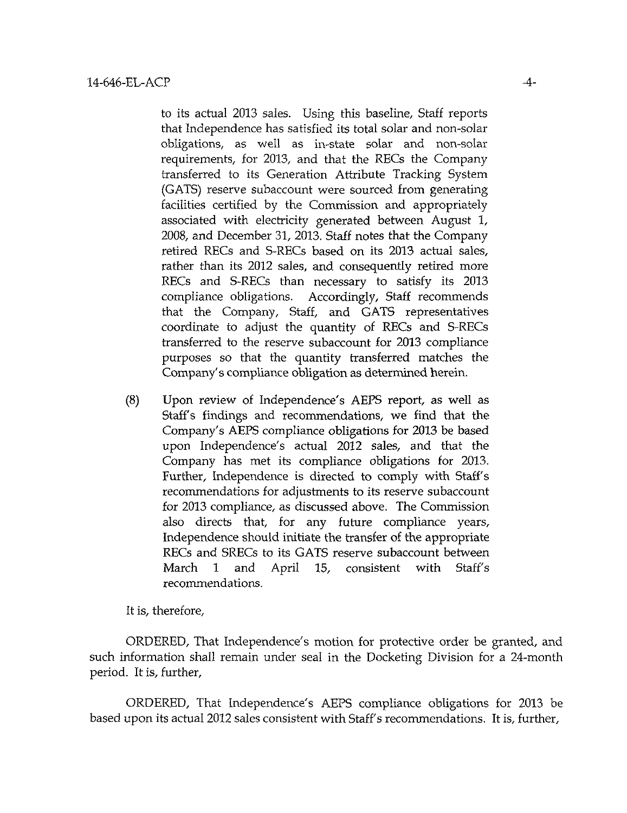to its actual 2013 sales. Using this baseline. Staff reports that Independence has satisfied its total solar and non-solar obligations, as well as in-state solar and non-solar requirements, for 2013, and that the RECs the Company transferred to its Generation Attribute Tracking System (GATS) reserve subaccount were sourced from generating facilities certified by the Commission and appropriately associated with electricity generated between August 1, 2008, and December 31, 2013. Staff notes that the Company retired RECs and S-RECs based on its 2013 actual sales, rather than its 2012 sales, and consequently retired more RECs and S-RECs than necessary to satisfy its 2013 compliance obligations. Accordingly, Staff recommends that the Company, Staff, and GATS representatives coordinate to adjust the quantity of RECs and S-RECs transferred to the reserve subaccount for 2013 compliance purposes so that the quantity transferred matches the Company's compliance obligation as determined herein.

(8) Upon review of Independence's AEPS report, as well as Staff's findings and recommendations, we find that the Company's AEPS compliance obligations for 2013 be based upon Independence's actual 2012 sales, and that the Company has met its compliance obligations for 2013. Further, Independence is directed to comply with Staff's recommendations for adjustments to its reserve subaccount for 2013 compliance, as discussed above. The Commission also directs that, for any future compliance years. Independence should initiate the transfer of the appropriate RECs and SRECs to its GATS reserve subaccount between March 1 and April 15, consistent with Staff's recommendations.

It is, therefore,

ORDERED, That Independence's motion for protective order be granted, and such information shall remain under seal in the Docketing Division for a 24-month period. It is, further,

ORDERED, That Independence's AEPS compliance obligations for 2013 be based upon its actual 2012 sales consistent with Staff's recommendations. It is, further.